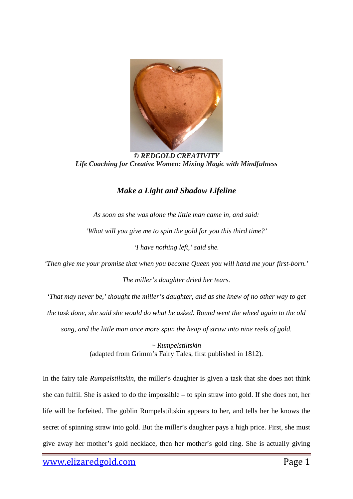

*© REDGOLD CREATIVITY Life Coaching for Creative Women: Mixing Magic with Mindfulness*

## *Make a Light and Shadow Lifeline*

*As soon as she was alone the little man came in, and said: 'What will you give me to spin the gold for you this third time?'*

*'I have nothing left,' said she.*

*'Then give me your promise that when you become Queen you will hand me your first-born.'*

*The miller's daughter dried her tears.*

*'That may never be,' thought the miller's daughter, and as she knew of no other way to get the task done, she said she would do what he asked. Round went the wheel again to the old song, and the little man once more spun the heap of straw into nine reels of gold.*

> *~ Rumpelstiltskin* (adapted from Grimm's Fairy Tales, first published in 1812).

In the fairy tale *Rumpelstiltskin*, the miller's daughter is given a task that she does not think she can fulfil. She is asked to do the impossible – to spin straw into gold. If she does not, her life will be forfeited. The goblin Rumpelstiltskin appears to her, and tells her he knows the secret of spinning straw into gold. But the miller's daughter pays a high price. First, she must give away her mother's gold necklace, then her mother's gold ring. She is actually giving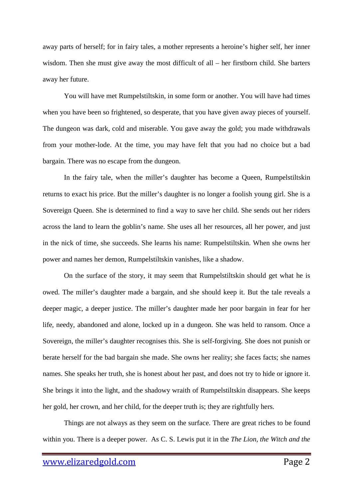away parts of herself; for in fairy tales, a mother represents a heroine's higher self, her inner wisdom. Then she must give away the most difficult of all – her firstborn child. She barters away her future.

You will have met Rumpelstiltskin, in some form or another. You will have had times when you have been so frightened, so desperate, that you have given away pieces of yourself. The dungeon was dark, cold and miserable. You gave away the gold; you made withdrawals from your mother-lode. At the time, you may have felt that you had no choice but a bad bargain. There was no escape from the dungeon.

In the fairy tale, when the miller's daughter has become a Queen, Rumpelstiltskin returns to exact his price. But the miller's daughter is no longer a foolish young girl. She is a Sovereign Queen. She is determined to find a way to save her child. She sends out her riders across the land to learn the goblin's name. She uses all her resources, all her power, and just in the nick of time, she succeeds. She learns his name: Rumpelstiltskin. When she owns her power and names her demon, Rumpelstiltskin vanishes, like a shadow.

On the surface of the story, it may seem that Rumpelstiltskin should get what he is owed. The miller's daughter made a bargain, and she should keep it. But the tale reveals a deeper magic, a deeper justice. The miller's daughter made her poor bargain in fear for her life, needy, abandoned and alone, locked up in a dungeon. She was held to ransom. Once a Sovereign, the miller's daughter recognises this. She is self-forgiving. She does not punish or berate herself for the bad bargain she made. She owns her reality; she faces facts; she names names. She speaks her truth, she is honest about her past, and does not try to hide or ignore it. She brings it into the light, and the shadowy wraith of Rumpelstiltskin disappears. She keeps her gold, her crown, and her child, for the deeper truth is; they are rightfully hers.

Things are not always as they seem on the surface. There are great riches to be found within you. There is a deeper power. As C. S. Lewis put it in the *The Lion, the Witch and the*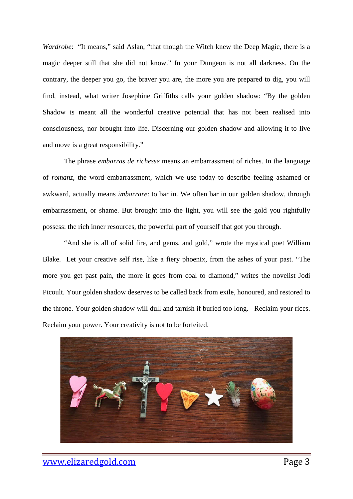*Wardrobe*: "It means," said Aslan, "that though the Witch knew the Deep Magic, there is a magic deeper still that she did not know." In your Dungeon is not all darkness. On the contrary, the deeper you go, the braver you are, the more you are prepared to dig, you will find, instead, what writer Josephine Griffiths calls your golden shadow: "By the golden Shadow is meant all the wonderful creative potential that has not been realised into consciousness, nor brought into life. Discerning our golden shadow and allowing it to live and move is a great responsibility."

The phrase *embarras de richesse* means an embarrassment of riches. In the language of *romanz*, the word embarrassment, which we use today to describe feeling ashamed or awkward, actually means *imbarrare*: to bar in. We often bar in our golden shadow, through embarrassment, or shame. But brought into the light, you will see the gold you rightfully possess: the rich inner resources, the powerful part of yourself that got you through.

"And she is all of solid fire, and gems, and gold," wrote the mystical poet William Blake. Let your creative self rise, like a fiery phoenix, from the ashes of your past. "The more you get past pain, the more it goes from coal to diamond," writes the novelist Jodi Picoult. Your golden shadow deserves to be called back from exile, honoured, and restored to the throne. Your golden shadow will dull and tarnish if buried too long. Reclaim your rices. Reclaim your power. Your creativity is not to be forfeited.

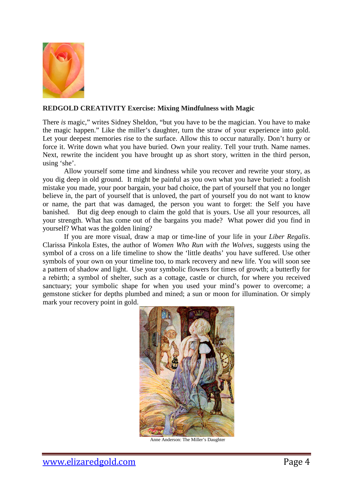

## **REDGOLD CREATIVITY Exercise: Mixing Mindfulness with Magic**

There *is* magic," writes Sidney Sheldon, "but you have to be the magician. You have to make the magic happen." Like the miller's daughter, turn the straw of your experience into gold. Let your deepest memories rise to the surface. Allow this to occur naturally. Don't hurry or force it. Write down what you have buried. Own your reality. Tell your truth. Name names. Next, rewrite the incident you have brought up as short story, written in the third person, using 'she'.

Allow yourself some time and kindness while you recover and rewrite your story, as you dig deep in old ground. It might be painful as you own what you have buried: a foolish mistake you made, your poor bargain, your bad choice, the part of yourself that you no longer believe in, the part of yourself that is unloved, the part of yourself you do not want to know or name, the part that was damaged, the person you want to forget: the Self you have banished. But dig deep enough to claim the gold that is yours. Use all your resources, all your strength. What has come out of the bargains you made? What power did you find in yourself? What was the golden lining?

If you are more visual, draw a map or time-line of your life in your *Liber Regalis*. Clarissa Pinkola Estes, the author of *Women Who Run with the Wolves*, suggests using the symbol of a cross on a life timeline to show the 'little deaths' you have suffered. Use other symbols of your own on your timeline too, to mark recovery and new life. You will soon see a pattern of shadow and light. Use your symbolic flowers for times of growth; a butterfly for a rebirth; a symbol of shelter, such as a cottage, castle or church, for where you received sanctuary; your symbolic shape for when you used your mind's power to overcome; a gemstone sticker for depths plumbed and mined; a sun or moon for illumination. Or simply mark your recovery point in gold.



Anne Anderson: The Miller's Daughter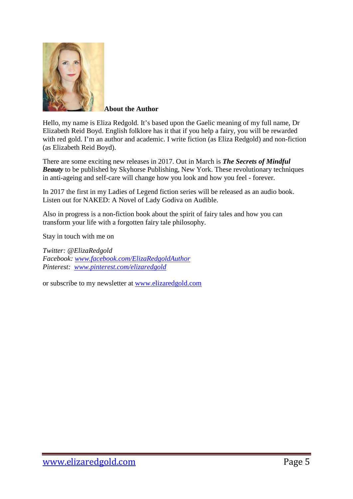

**About the Author**

Hello, my name is Eliza Redgold. It's based upon the Gaelic meaning of my full name, Dr Elizabeth Reid Boyd. English folklore has it that if you help a fairy, you will be rewarded with red gold. I'm an author and academic. I write fiction (as Eliza Redgold) and non-fiction (as Elizabeth Reid Boyd).

There are some exciting new releases in 2017. Out in March is *[The Secrets of Mindful](http://skyhorsepublishing.com/titles/12157-9781510717695-secrets-of-mindful-beauty)  [Beauty](http://skyhorsepublishing.com/titles/12157-9781510717695-secrets-of-mindful-beauty)* to be published by Skyhorse Publishing, New York. These revolutionary techniques in anti-ageing and self-care will change how you look and how you feel - forever.

In 2017 the first in my Ladies of Legend fiction series will be released as an audio book. Listen out for NAKED: A Novel of Lady Godiva on Audible.

Also in progress is a non-fiction book about the spirit of fairy tales and how you can transform your life with a forgotten fairy tale philosophy.

Stay in touch with me on

*Twitter: @ElizaRedgold Facebook: [www.facebook.com/ElizaRedgoldAuthor](http://www.facebook.com/ElizaRedgoldAuthor) Pinterest: [www.pinterest.com/elizaredgold](http://www.pinterest.com/elizaredgold)*

or subscribe to my newsletter at [www.elizaredgold.com](http://www.elizaredgold.com/)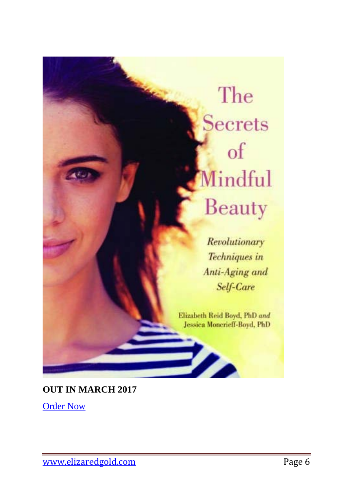## The **Secrets** of Mindful Beauty

Revolutionary Techniques in Anti-Aging and Self-Care

Elizabeth Reid Boyd, PhD and Jessica Moncrieff-Boyd, PhD

▶⊿

**OUT IN MARCH 2017**

**[Order Now](https://www.amazon.com/Secrets-Mindful-Beauty-Revolutionary-Techniques/dp/1510717692)**